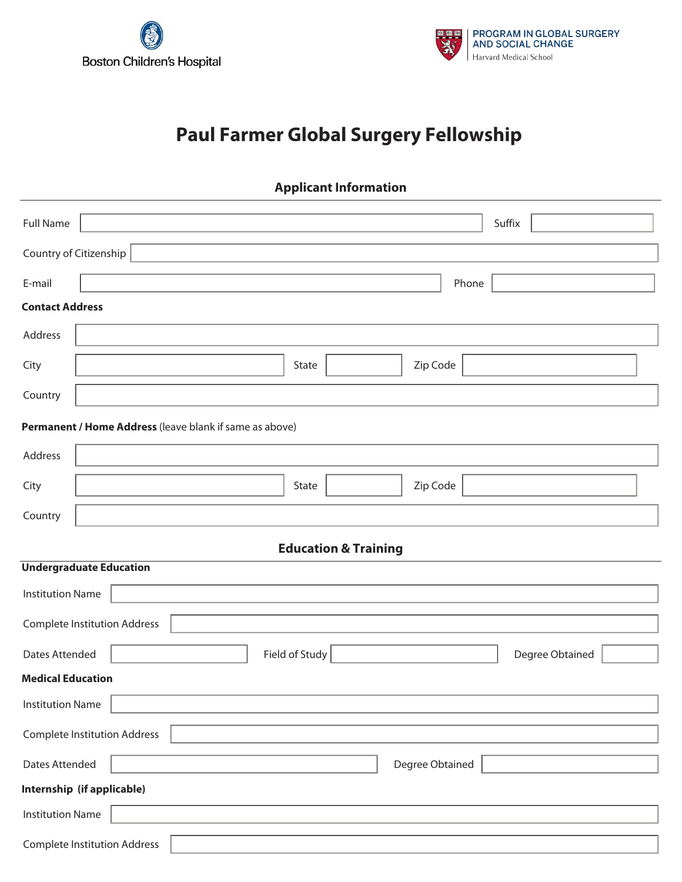



## **Paul Farmer Global Surgery Fellowship**

| <b>Applicant Information</b>                               |                                                         |  |  |  |  |  |  |
|------------------------------------------------------------|---------------------------------------------------------|--|--|--|--|--|--|
| <b>Full Name</b>                                           | Suffix                                                  |  |  |  |  |  |  |
| Country of Citizenship                                     |                                                         |  |  |  |  |  |  |
| E-mail                                                     | Phone                                                   |  |  |  |  |  |  |
| <b>Contact Address</b>                                     |                                                         |  |  |  |  |  |  |
| Address                                                    |                                                         |  |  |  |  |  |  |
| City                                                       | Zip Code<br>State                                       |  |  |  |  |  |  |
| Country                                                    |                                                         |  |  |  |  |  |  |
|                                                            | Permanent / Home Address (leave blank if same as above) |  |  |  |  |  |  |
| Address                                                    |                                                         |  |  |  |  |  |  |
| City                                                       | Zip Code<br>State                                       |  |  |  |  |  |  |
| Country                                                    |                                                         |  |  |  |  |  |  |
|                                                            | <b>Education &amp; Training</b>                         |  |  |  |  |  |  |
|                                                            | <b>Undergraduate Education</b>                          |  |  |  |  |  |  |
| <b>Institution Name</b>                                    |                                                         |  |  |  |  |  |  |
| <b>Complete Institution Address</b>                        |                                                         |  |  |  |  |  |  |
| Field of Study<br><b>Dates Attended</b><br>Degree Obtained |                                                         |  |  |  |  |  |  |
| <b>Medical Education</b>                                   |                                                         |  |  |  |  |  |  |
| <b>Institution Name</b>                                    |                                                         |  |  |  |  |  |  |
|                                                            | <b>Complete Institution Address</b>                     |  |  |  |  |  |  |
|                                                            |                                                         |  |  |  |  |  |  |
| Degree Obtained<br>Dates Attended                          |                                                         |  |  |  |  |  |  |
|                                                            | Internship (if applicable)                              |  |  |  |  |  |  |
| <b>Institution Name</b>                                    |                                                         |  |  |  |  |  |  |
|                                                            | <b>Complete Institution Address</b>                     |  |  |  |  |  |  |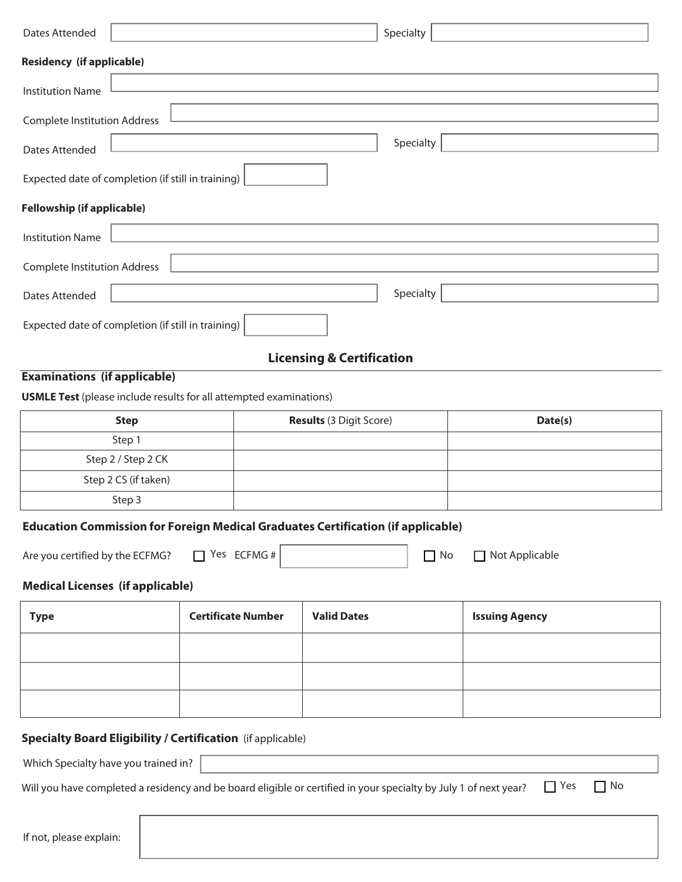| <b>Dates Attended</b>                                                     |           |  |                                                                                         | Specialty |         |  |  |
|---------------------------------------------------------------------------|-----------|--|-----------------------------------------------------------------------------------------|-----------|---------|--|--|
| <b>Residency (if applicable)</b>                                          |           |  |                                                                                         |           |         |  |  |
| <b>Institution Name</b>                                                   |           |  |                                                                                         |           |         |  |  |
| <b>Complete Institution Address</b>                                       |           |  |                                                                                         |           |         |  |  |
| <b>Dates Attended</b>                                                     | Specialty |  |                                                                                         |           |         |  |  |
| Expected date of completion (if still in training)                        |           |  |                                                                                         |           |         |  |  |
| <b>Fellowship (if applicable)</b>                                         |           |  |                                                                                         |           |         |  |  |
| <b>Institution Name</b>                                                   |           |  |                                                                                         |           |         |  |  |
| <b>Complete Institution Address</b>                                       |           |  |                                                                                         |           |         |  |  |
| <b>Dates Attended</b>                                                     | Specialty |  |                                                                                         |           |         |  |  |
| Expected date of completion (if still in training)                        |           |  |                                                                                         |           |         |  |  |
|                                                                           |           |  | <b>Licensing &amp; Certification</b>                                                    |           |         |  |  |
| <b>Examinations (if applicable)</b>                                       |           |  |                                                                                         |           |         |  |  |
| <b>USMLE Test</b> (please include results for all attempted examinations) |           |  |                                                                                         |           |         |  |  |
| <b>Step</b>                                                               |           |  | <b>Results (3 Digit Score)</b>                                                          |           | Date(s) |  |  |
| Step 1                                                                    |           |  |                                                                                         |           |         |  |  |
| Step 2 / Step 2 CK                                                        |           |  |                                                                                         |           |         |  |  |
| Step 2 CS (if taken)                                                      |           |  |                                                                                         |           |         |  |  |
| Step 3                                                                    |           |  |                                                                                         |           |         |  |  |
|                                                                           |           |  | <b>Education Commission for Foreign Medical Graduates Certification (if applicable)</b> |           |         |  |  |

Are you certified by the ECFMG?  $\Box$  Yes ECFMG #

No **Not Applicable** 

## **Medical Licenses (if applicable)**

| <b>Type</b> | <b>Certificate Number</b> | <b>Valid Dates</b> | <b>Issuing Agency</b> |
|-------------|---------------------------|--------------------|-----------------------|
|             |                           |                    |                       |
|             |                           |                    |                       |
|             |                           |                    |                       |

## **Specialty Board Eligibility / Certification** (if applicable)

Which Specialty have you trained in?

Will you have completed a residency and be board eligible or certified in your specialty by July 1 of next year?

 $\Box$  Yes  $\Box$  No